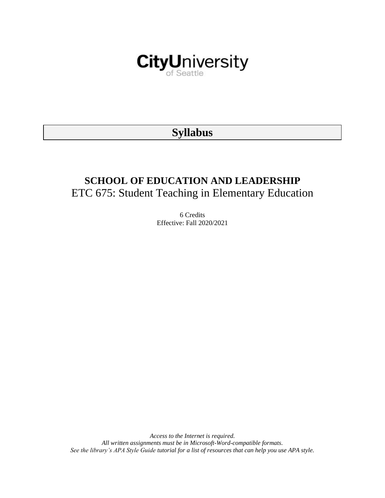

# **Syllabus**

# **SCHOOL OF EDUCATION AND LEADERSHIP** ETC 675: Student Teaching in Elementary Education

6 Credits Effective: Fall 2020/2021

*Access to the Internet is required. All written assignments must be in Microsoft-Word-compatible formats. See the library's APA Style Guide tutorial for a list of resources that can help you use APA style.*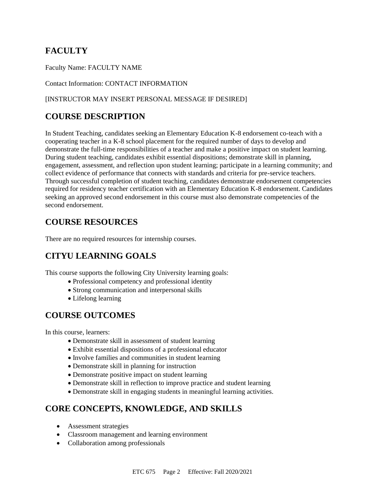# **FACULTY**

Faculty Name: FACULTY NAME

Contact Information: CONTACT INFORMATION

#### [INSTRUCTOR MAY INSERT PERSONAL MESSAGE IF DESIRED]

## **COURSE DESCRIPTION**

In Student Teaching, candidates seeking an Elementary Education K-8 endorsement co-teach with a cooperating teacher in a K-8 school placement for the required number of days to develop and demonstrate the full-time responsibilities of a teacher and make a positive impact on student learning. During student teaching, candidates exhibit essential dispositions; demonstrate skill in planning, engagement, assessment, and reflection upon student learning; participate in a learning community; and collect evidence of performance that connects with standards and criteria for pre-service teachers. Through successful completion of student teaching, candidates demonstrate endorsement competencies required for residency teacher certification with an Elementary Education K-8 endorsement. Candidates seeking an approved second endorsement in this course must also demonstrate competencies of the second endorsement.

## **COURSE RESOURCES**

There are no required resources for internship courses.

## **CITYU LEARNING GOALS**

This course supports the following City University learning goals:

- Professional competency and professional identity
- Strong communication and interpersonal skills
- Lifelong learning

# **COURSE OUTCOMES**

In this course, learners:

- Demonstrate skill in assessment of student learning
- Exhibit essential dispositions of a professional educator
- Involve families and communities in student learning
- Demonstrate skill in planning for instruction
- Demonstrate positive impact on student learning
- Demonstrate skill in reflection to improve practice and student learning
- Demonstrate skill in engaging students in meaningful learning activities.

# **CORE CONCEPTS, KNOWLEDGE, AND SKILLS**

- Assessment strategies
- Classroom management and learning environment
- Collaboration among professionals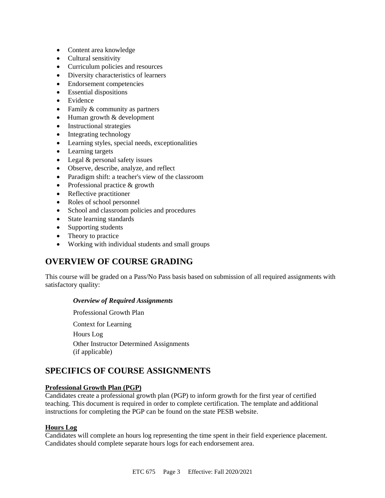- Content area knowledge
- Cultural sensitivity
- Curriculum policies and resources
- Diversity characteristics of learners
- Endorsement competencies
- Essential dispositions
- Evidence
- Family & community as partners
- Human growth & development
- Instructional strategies
- Integrating technology
- Learning styles, special needs, exceptionalities
- Learning targets
- Legal & personal safety issues
- Observe, describe, analyze, and reflect
- Paradigm shift: a teacher's view of the classroom
- Professional practice & growth
- Reflective practitioner
- Roles of school personnel
- School and classroom policies and procedures
- State learning standards
- Supporting students
- Theory to practice
- Working with individual students and small groups

### **OVERVIEW OF COURSE GRADING**

This course will be graded on a Pass/No Pass basis based on submission of all required assignments with satisfactory quality:

#### *Overview of Required Assignments*

Professional Growth Plan Context for Learning Hours Log Other Instructor Determined Assignments (if applicable)

# **SPECIFICS OF COURSE ASSIGNMENTS**

#### **Professional Growth Plan (PGP)**

Candidates create a professional growth plan (PGP) to inform growth for the first year of certified teaching. This document is required in order to complete certification. The template and additional instructions for completing the PGP can be found on the state PESB website.

#### **Hours Log**

Candidates will complete an hours log representing the time spent in their field experience placement. Candidates should complete separate hours logs for each endorsement area.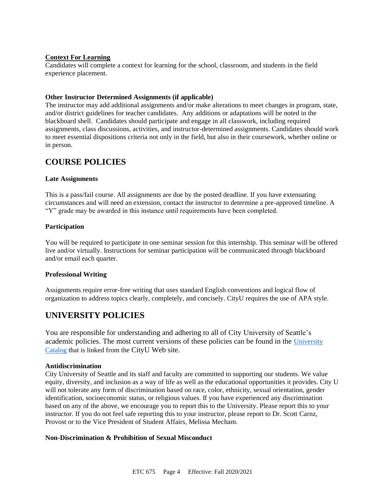#### **Context For Learning**

Candidates will complete a context for learning for the school, classroom, and students in the field experience placement.

#### **Other Instructor Determined Assignments (if applicable)**

The instructor may add additional assignments and/or make alterations to meet changes in program, state, and/or district guidelines for teacher candidates. Any additions or adaptations will be noted in the blackboard shell. Candidates should participate and engage in all classwork, including required assignments, class discussions, activities, and instructor-determined assignments. Candidates should work to meet essential dispositions criteria not only in the field, but also in their coursework, whether online or in person.

## **COURSE POLICIES**

#### **Late Assignments**

This is a pass/fail course. All assignments are due by the posted deadline. If you have extenuating circumstances and will need an extension, contact the instructor to determine a pre-approved timeline. A "Y" grade may be awarded in this instance until requirements have been completed.

#### **Participation**

You will be required to participate in one seminar session for this internship. This seminar will be offered live and/or virtually. Instructions for seminar participation will be communicated through blackboard and/or email each quarter.

#### **Professional Writing**

Assignments require error-free writing that uses standard English conventions and logical flow of organization to address topics clearly, completely, and concisely. CityU requires the use of APA style.

## **UNIVERSITY POLICIES**

You are responsible for understanding and adhering to all of City University of Seattle's academic policies. The most current versions of these policies can be found in the [University](https://www.cityu.edu/catalog/)  [Catalog](https://www.cityu.edu/catalog/) that is linked from the CityU Web site.

#### **Antidiscrimination**

City University of Seattle and its staff and faculty are committed to supporting our students. We value equity, diversity, and inclusion as a way of life as well as the educational opportunities it provides. City U will not tolerate any form of discrimination based on race, color, ethnicity, sexual orientation, gender identification, socioeconomic status, or religious values. If you have experienced any discrimination based on any of the above, we encourage you to report this to the University. Please report this to your instructor. If you do not feel safe reporting this to your instructor, please report to Dr. Scott Carnz, Provost or to the Vice President of Student Affairs, Melissa Mecham.

#### **Non-Discrimination & Prohibition of Sexual Misconduct**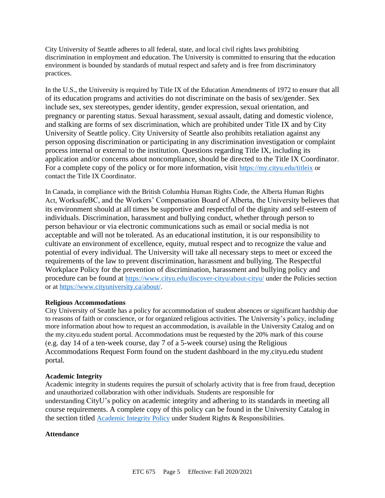City University of Seattle adheres to all federal, state, and local civil rights laws prohibiting discrimination in employment and education. The University is committed to ensuring that the education environment is bounded by standards of mutual respect and safety and is free from discriminatory practices.

In the U.S., the University is required by Title IX of the Education Amendments of 1972 to ensure that all of its education programs and activities do not discriminate on the basis of sex/gender. Sex include sex, sex stereotypes, gender identity, gender expression, sexual orientation, and pregnancy or parenting status. Sexual harassment, sexual assault, dating and domestic violence, and stalking are forms of sex discrimination, which are prohibited under Title IX and by City University of Seattle policy. City University of Seattle also prohibits retaliation against any person opposing discrimination or participating in any discrimination investigation or complaint process internal or external to the institution. Questions regarding Title IX, including its application and/or concerns about noncompliance, should be directed to the Title IX Coordinator. For a complete copy of the policy or for more information, visit <https://my.cityu.edu/titleix> or contact the Title IX Coordinator.

In Canada, in compliance with the British Columbia Human Rights Code, the Alberta Human Rights Act, WorksafeBC, and the Workers' Compensation Board of Alberta, the University believes that its environment should at all times be supportive and respectful of the dignity and self-esteem of individuals. Discrimination, harassment and bullying conduct, whether through person to person behaviour or via electronic communications such as email or social media is not acceptable and will not be tolerated. As an educational institution, it is our responsibility to cultivate an environment of excellence, equity, mutual respect and to recognize the value and potential of every individual. The University will take all necessary steps to meet or exceed the requirements of the law to prevent discrimination, harassment and bullying. The Respectful Workplace Policy for the prevention of discrimination, harassment and bullying policy and procedure can be found at <https://www.cityu.edu/discover-cityu/about-cityu/> under the Policies section or at <https://www.cityuniversity.ca/about/>.

#### **Religious Accommodations**

City University of Seattle has a policy for accommodation of student absences or significant hardship due to reasons of faith or conscience, or for organized religious activities. The University's policy, including more information about how to request an accommodation, is available in the University Catalog and on the my.cityu.edu student portal. Accommodations must be requested by the 20% mark of this course (e.g. day 14 of a ten-week course, day 7 of a 5-week course) using the Religious Accommodations Request Form found on the student dashboard in the my.cityu.edu student portal.

#### **Academic Integrity**

Academic integrity in students requires the pursuit of scholarly activity that is free from fraud, deception and unauthorized collaboration with other individuals. Students are responsible for understanding CityU's policy on academic integrity and adhering to its standards in meeting all course requirements. A complete copy of this policy can be found in the University Catalog in the section titled [Academic Integrity Policy](https://www.cityu.edu/catalog/;) under Student Rights & Responsibilities.

#### **Attendance**